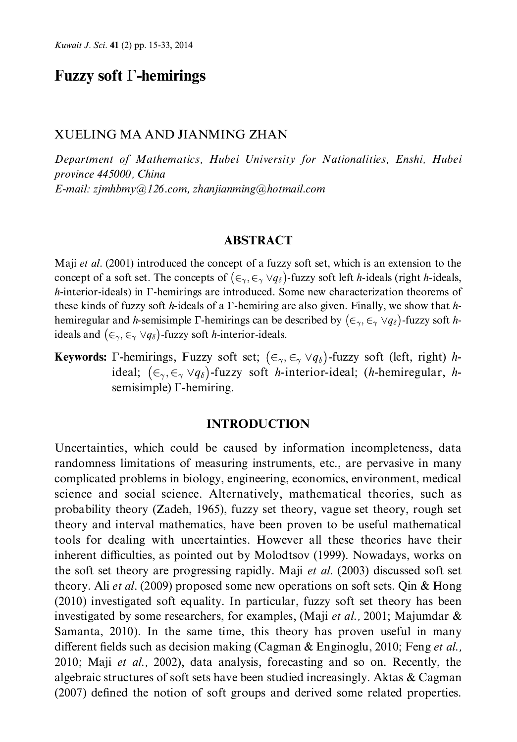## **Fuzzy soft**  $\Gamma$ **-hemirings**

#### XUELING MA AND JIANMING ZHAN

Department of Mathematics, Hubei University for Nationalities, Enshi, Hubei province 445000, China E-mail: zjmhbmy@126.com, zhanjianming@hotmail.com

#### **ABSTRACT**

Maji et al. (2001) introduced the concept of a fuzzy soft set, which is an extension to the concept of a soft set. The concepts of  $(\epsilon_{\gamma}, \epsilon_{\gamma} \vee q_{\delta})$ -fuzzy soft left *h*-ideals (right *h*-ideals,  $h$ -interior-ideals) in  $\Gamma$ -hemirings are introduced. Some new characterization theorems of these kinds of fuzzy soft h-ideals of a  $\Gamma$ -hemiring are also given. Finally, we show that hhemiregular and h-semisimple  $\Gamma$ -hemirings can be described by  $(\epsilon_{\gamma}, \epsilon_{\gamma} \vee q_{\delta})$ -fuzzy soft hideals and  $(\epsilon_{\gamma}, \epsilon_{\gamma} \vee q_{\delta})$ -fuzzy soft *h*-interior-ideals.

**Keywords:**  $\Gamma$ -hemirings, Fuzzy soft set;  $(\epsilon_{\gamma}, \epsilon_{\gamma} \vee q_{\delta})$ -fuzzy soft (left, right) *h*ideal;  $(\epsilon_{\gamma}, \epsilon_{\gamma} \vee q_{\delta})$ -fuzzy soft *h*-interior-ideal; (*h*-hemiregular, *h*semisimple)  $\Gamma$ -hemiring.

#### **INTRODUCTION**

Uncertainties, which could be caused by information incompleteness, data randomness limitations of measuring instruments, etc., are pervasive in many complicated problems in biology, engineering, economics, environment, medical science and social science. Alternatively, mathematical theories, such as probability theory (Zadeh, 1965), fuzzy set theory, vague set theory, rough set theory and interval mathematics, have been proven to be useful mathematical tools for dealing with uncertainties. However all these theories have their inherent difficulties, as pointed out by Molodtsov (1999). Nowadays, works on the soft set theory are progressing rapidly. Maji *et al.* (2003) discussed soft set theory. Ali et al. (2009) proposed some new operations on soft sets. Qin & Hong (2010) investigated soft equality. In particular, fuzzy soft set theory has been investigated by some researchers, for examples, (Maji *et al.*, 2001; Majumdar  $\&$ Samanta, 2010). In the same time, this theory has proven useful in many different fields such as decision making (Cagman & Enginoglu, 2010; Feng et al., 2010; Maji et al., 2002), data analysis, forecasting and so on. Recently, the algebraic structures of soft sets have been studied increasingly. Aktas & Cagman (2007) defined the notion of soft groups and derived some related properties.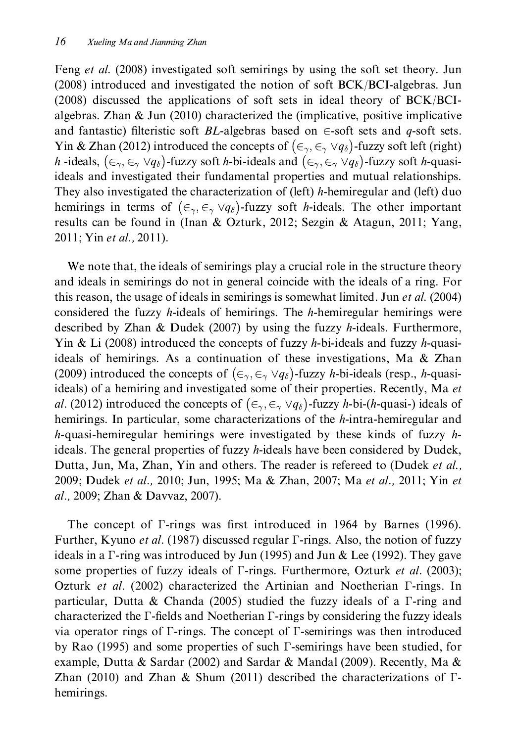Feng et al. (2008) investigated soft semirings by using the soft set theory. Jun (2008) introduced and investigated the notion of soft BCK/BCI-algebras. Jun (2008) discussed the applications of soft sets in ideal theory of BCK/BCIalgebras. Zhan  $\&$  Jun (2010) characterized the (implicative, positive implicative and fantastic) filteristic soft *BL*-algebras based on  $\in$ -soft sets and *q*-soft sets. Yin & Zhan (2012) introduced the concepts of  $(\epsilon_{\gamma}, \epsilon_{\gamma} \vee q_{\delta})$ -fuzzy soft left (right) h-ideals,  $(\in_{\gamma}, \in_{\gamma} \vee q_{\delta})$ -fuzzy soft h-bi-ideals and  $(\in_{\gamma}, \in_{\gamma} \vee q_{\delta})$ -fuzzy soft h-quasiideals and investigated their fundamental properties and mutual relationships. They also investigated the characterization of (left) h-hemiregular and (left) duo hemirings in terms of  $(\epsilon_{\gamma}, \epsilon_{\gamma} \vee q_{\delta})$ -fuzzy soft *h*-ideals. The other important results can be found in (Inan & Ozturk, 2012; Sezgin & Atagun, 2011; Yang, 2011; Yin et al., 2011).

We note that, the ideals of semirings play a crucial role in the structure theory and ideals in semirings do not in general coincide with the ideals of a ring. For this reason, the usage of ideals in semirings is somewhat limited. Jun et al. (2004) considered the fuzzy *h*-ideals of hemirings. The *h*-hemiregular hemirings were described by Zhan & Dudek (2007) by using the fuzzy h-ideals. Furthermore, Yin & Li (2008) introduced the concepts of fuzzy h-bi-ideals and fuzzy h-quasiideals of hemirings. As a continuation of these investigations, Ma & Zhan (2009) introduced the concepts of  $(\epsilon_{\gamma}, \epsilon_{\gamma} \vee q_{\delta})$ -fuzzy *h*-bi-ideals (resp., *h*-quasiideals) of a hemiring and investigated some of their properties. Recently, Ma et al. (2012) introduced the concepts of  $(\epsilon_{\gamma}, \epsilon_{\gamma} \vee q_{\delta})$ -fuzzy h-bi-(h-quasi-) ideals of hemirings. In particular, some characterizations of the h-intra-hemiregular and h-quasi-hemiregular hemirings were investigated by these kinds of fuzzy  $h$ ideals. The general properties of fuzzy h-ideals have been considered by Dudek, Dutta, Jun, Ma, Zhan, Yin and others. The reader is refereed to (Dudek et al., 2009; Dudek et al., 2010; Jun, 1995; Ma & Zhan, 2007; Ma et al., 2011; Yin et al., 2009; Zhan & Davyaz, 2007).

The concept of  $\Gamma$ -rings was first introduced in 1964 by Barnes (1996). Further, Kyuno *et al.* (1987) discussed regular *T*-rings. Also, the notion of fuzzy ideals in a  $\Gamma$ -ring was introduced by Jun (1995) and Jun & Lee (1992). They gave some properties of fuzzy ideals of *T*-rings. Furthermore, Ozturk et al. (2003); Ozturk et al. (2002) characterized the Artinian and Noetherian *Γ*-rings. In particular, Dutta & Chanda (2005) studied the fuzzy ideals of a  $\Gamma$ -ring and characterized the  $\Gamma$ -fields and Noetherian  $\Gamma$ -rings by considering the fuzzy ideals via operator rings of  $\Gamma$ -rings. The concept of  $\Gamma$ -semirings was then introduced by Rao (1995) and some properties of such  $\Gamma$ -semirings have been studied, for example, Dutta & Sardar (2002) and Sardar & Mandal (2009). Recently, Ma & Zhan (2010) and Zhan & Shum (2011) described the characterizations of  $\Gamma$ hemirings.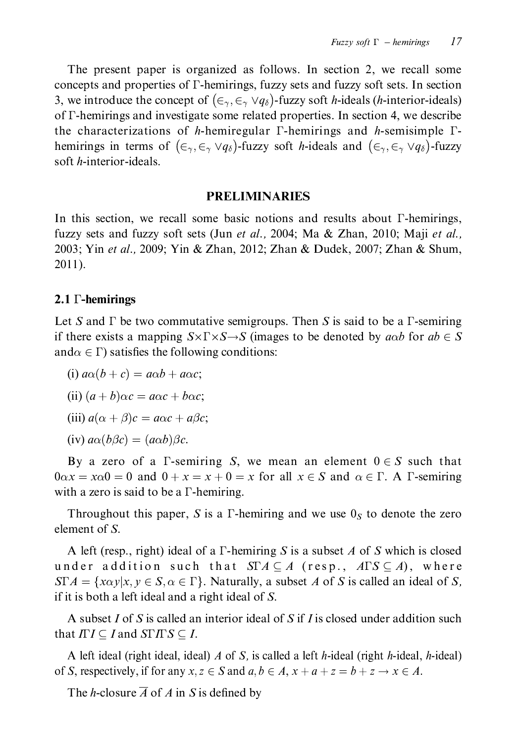The present paper is organized as follows. In section 2, we recall some concepts and properties of  $\Gamma$ -hemirings, fuzzy sets and fuzzy soft sets. In section 3, we introduce the concept of  $(\epsilon_{\gamma}, \epsilon_{\gamma} \vee q_{\delta})$ -fuzzy soft *h*-ideals (*h*-interior-ideals) of  $\Gamma$ -hemirings and investigate some related properties. In section 4, we describe the characterizations of h-hemiregular  $\Gamma$ -hemirings and h-semisimple  $\Gamma$ hemirings in terms of  $(\epsilon_{\gamma}, \epsilon_{\gamma} \vee q_{\delta})$ -fuzzy soft *h*-ideals and  $(\epsilon_{\gamma}, \epsilon_{\gamma} \vee q_{\delta})$ -fuzzy soft *h*-interior-ideals.

#### **PRELIMINARIES**

In this section, we recall some basic notions and results about  $\Gamma$ -hemirings, fuzzy sets and fuzzy soft sets (Jun et al., 2004; Ma & Zhan, 2010; Maji et al., 2003; Yin et al., 2009; Yin & Zhan, 2012; Zhan & Dudek, 2007; Zhan & Shum,  $2011$ ).

### 2.1  $\Gamma$ -hemirings

Let S and  $\Gamma$  be two commutative semigroups. Then S is said to be a  $\Gamma$ -semiring if there exists a mapping  $S \times \Gamma \times S \rightarrow S$  (images to be denoted by *aob* for  $ab \in S$ and $\alpha \in \Gamma$ ) satisfies the following conditions:

(i)  $a\alpha(b+c) = a\alpha b + a\alpha c$ ;

(ii)  $(a + b)\alpha c = a\alpha c + b\alpha c$ ;

(iii)  $a(\alpha + \beta)c = a\alpha c + a\beta c$ ;

(iv)  $a\alpha(b\beta c) = (a\alpha b)\beta c$ .

By a zero of a  $\Gamma$ -semiring S, we mean an element  $0 \in S$  such that  $0\alpha x = x\alpha 0 = 0$  and  $0 + x = x + 0 = x$  for all  $x \in S$  and  $\alpha \in \Gamma$ . A T-semiring with a zero is said to be a  $\Gamma$ -hemiring.

Throughout this paper, S is a  $\Gamma$ -hemiring and we use  $0<sub>S</sub>$  to denote the zero element of  $S$ .

A left (resp., right) ideal of a  $\Gamma$ -hemiring S is a subset A of S which is closed under addition such that  $\operatorname{ST} A \subseteq A$  (resp.,  $A \Gamma S \subseteq A$ ), where  $STA = \{x\alpha y|x, y \in S, \alpha \in \Gamma\}$ . Naturally, a subset A of S is called an ideal of S, if it is both a left ideal and a right ideal of S.

A subset I of S is called an interior ideal of S if I is closed under addition such that  $\Pi I \subseteq I$  and  $S\Gamma I \Gamma S \subseteq I$ .

A left ideal (right ideal, ideal) A of S, is called a left h-ideal (right h-ideal, h-ideal) of S, respectively, if for any  $x, z \in S$  and  $a, b \in A$ ,  $x + a + z = b + z \rightarrow x \in A$ .

The *h*-closure  $\overline{A}$  of A in S is defined by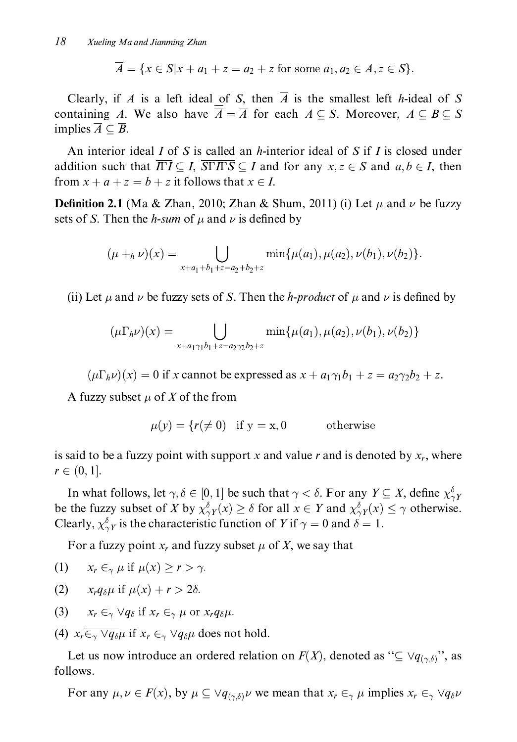$\overline{A} = \{x \in S | x + a_1 + z = a_2 + z \text{ for some } a_1, a_2 \in A, z \in S \}.$ 

Clearly, if A is a left ideal of S, then  $\overline{A}$  is the smallest left h-ideal of S containing A. We also have  $\overline{\overline{A}} = \overline{A}$  for each  $A \subseteq S$ . Moreover,  $A \subseteq B \subseteq S$ implies  $\overline{A} \subset \overline{B}$ .

An interior ideal  $I$  of  $S$  is called an  $h$ -interior ideal of  $S$  if  $I$  is closed under addition such that  $\overline{ITI} \subseteq I$ ,  $\overline{SITTS} \subseteq I$  and for any  $x, z \in S$  and  $a, b \in I$ , then from  $x + a + z = b + z$  it follows that  $x \in I$ .

**Definition 2.1** (Ma & Zhan, 2010; Zhan & Shum, 2011) (i) Let  $\mu$  and  $\nu$  be fuzzy sets of S. Then the *h*-sum of  $\mu$  and  $\nu$  is defined by

$$
(\mu +_{h} \nu)(x) = \bigcup_{x+a_1+b_1+z=a_2+b_2+z} \min\{\mu(a_1), \mu(a_2), \nu(b_1), \nu(b_2)\}.
$$

(ii) Let  $\mu$  and  $\nu$  be fuzzy sets of S. Then the *h-product* of  $\mu$  and  $\nu$  is defined by

$$
(\mu \Gamma_h \nu)(x) = \bigcup_{x + a_1 \gamma_1 b_1 + z = a_2 \gamma_2 b_2 + z} \min{\mu(a_1), \mu(a_2), \nu(b_1), \nu(b_2)}
$$

 $(\mu \Gamma_h \nu)(x) = 0$  if x cannot be expressed as  $x + a_1 \gamma_1 b_1 + z = a_2 \gamma_2 b_2 + z$ .

A fuzzy subset  $\mu$  of X of the from

 $\mu(v) = \{r(\neq 0) \text{ if } v = x, 0\}$ otherwise

is said to be a fuzzy point with support x and value r and is denoted by  $x_r$ , where  $r \in (0,1].$ 

In what follows, let  $\gamma, \delta \in [0, 1]$  be such that  $\gamma < \delta$ . For any  $Y \subseteq X$ , define  $\chi^{\delta}_{\gamma Y}$ be the fuzzy subset of X by  $\chi^{\delta}_{\gamma Y}(x) \ge \delta$  for all  $x \in Y$  and  $\chi^{\delta}_{\gamma Y}(x) \le \gamma$  otherwise. Clearly,  $\chi^{\delta}_{\gamma Y}$  is the characteristic function of Y if  $\gamma = 0$  and  $\delta = 1$ .

For a fuzzy point  $x_r$  and fuzzy subset  $\mu$  of X, we say that

$$
(1) \t x_r \in_{\gamma} \mu \text{ if } \mu(x) \geq r > \gamma.
$$

- (2)  $x_r q_\delta \mu$  if  $\mu(x) + r > 2\delta$ .
- (3)  $x_r \in_{\gamma} \forall q_{\delta}$  if  $x_r \in_{\gamma} \mu$  or  $x_r q_{\delta} \mu$ .
- (4)  $x_r \overline{\epsilon_{\gamma} \vee q_{\delta}} \mu$  if  $x_r \epsilon_{\gamma} \vee q_{\delta} \mu$  does not hold.

Let us now introduce an ordered relation on  $F(X)$ , denoted as " $\subseteq \forall q_{(\gamma,\delta)}$ ", as follows.

For any  $\mu, \nu \in F(x)$ , by  $\mu \subseteq \forall q_{(\gamma,\delta)} \nu$  we mean that  $x_r \in_{\gamma} \mu$  implies  $x_r \in_{\gamma} \forall q_{\delta} \nu$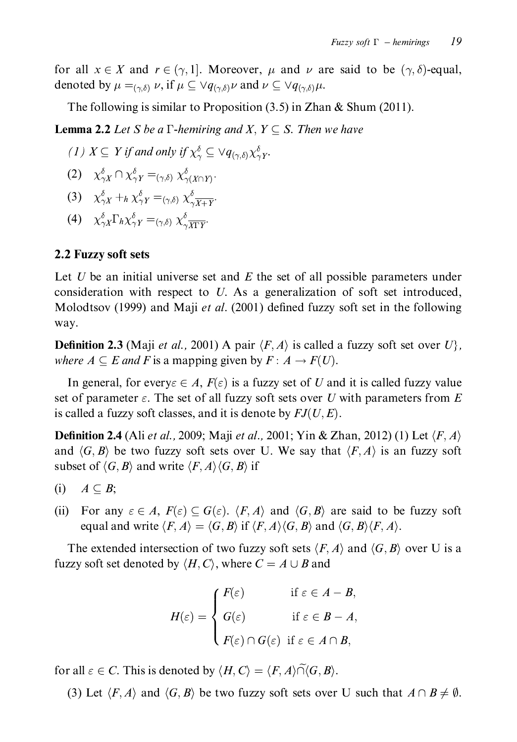for all  $x \in X$  and  $r \in (\gamma, 1]$ . Moreover,  $\mu$  and  $\nu$  are said to be  $(\gamma, \delta)$ -equal, denoted by  $\mu =_{(\gamma,\delta)} \nu$ , if  $\mu \subseteq \forall q_{(\gamma,\delta)}\nu$  and  $\nu \subseteq \forall q_{(\gamma,\delta)}\mu$ .

The following is similar to Proposition  $(3.5)$  in Zhan & Shum  $(2011)$ .

**Lemma 2.2** Let S be a  $\Gamma$ -hemiring and X,  $Y \subseteq S$ . Then we have

(1) 
$$
X \subseteq Y
$$
 if and only if  $\chi^{\delta}_{\gamma} \subseteq \vee q_{(\gamma,\delta)}\chi^{\delta}_{\gamma}Y$ .

$$
(2) \quad \chi_{\gamma X}^{\delta} \cap \chi_{\gamma Y}^{\delta} =_{(\gamma,\delta)} \chi_{\gamma(X \cap Y)}^{\delta}.
$$

(3) 
$$
\chi_{\gamma X}^{\delta} + h \chi_{\gamma Y}^{\delta} = (\gamma, \delta) \chi_{\gamma X + Y}^{\delta}.
$$

(4)  $\chi_{\gamma X}^{\delta} \Gamma_h \chi_{\gamma Y}^{\delta} =_{(\gamma, \delta)} \chi_{\gamma \overline{X \Gamma Y}}^{\delta}.$ 

### 2.2 Fuzzy soft sets

Let U be an initial universe set and E the set of all possible parameters under consideration with respect to U. As a generalization of soft set introduced, Molodtsov (1999) and Maji et al. (2001) defined fuzzy soft set in the following way.

**Definition 2.3** (Maji *et al.*, 2001) A pair  $\langle F, A \rangle$  is called a fuzzy soft set over  $U$ , where  $A \subseteq E$  and F is a mapping given by  $F : A \rightarrow F(U)$ .

In general, for every  $\epsilon \in A$ ,  $F(\epsilon)$  is a fuzzy set of U and it is called fuzzy value set of parameter  $\varepsilon$ . The set of all fuzzy soft sets over U with parameters from E is called a fuzzy soft classes, and it is denote by  $FJ(U, E)$ .

**Definition 2.4** (Ali *et al.*, 2009; Maji *et al.*, 2001; Yin & Zhan, 2012) (1) Let  $\langle F, A \rangle$ and  $\langle G, B \rangle$  be two fuzzy soft sets over U. We say that  $\langle F, A \rangle$  is an fuzzy soft subset of  $\langle G, B \rangle$  and write  $\langle F, A \rangle \langle G, B \rangle$  if

- $A\subseteq B;$  $(i)$
- (ii) For any  $\varepsilon \in A$ ,  $F(\varepsilon) \subseteq G(\varepsilon)$ .  $\langle F, A \rangle$  and  $\langle G, B \rangle$  are said to be fuzzy soft equal and write  $\langle F, A \rangle = \langle G, B \rangle$  if  $\langle F, A \rangle \langle G, B \rangle$  and  $\langle G, B \rangle \langle F, A \rangle$ .

The extended intersection of two fuzzy soft sets  $\langle F, A \rangle$  and  $\langle G, B \rangle$  over U is a fuzzy soft set denoted by  $\langle H, C \rangle$ , where  $C = A \cup B$  and

$$
H(\varepsilon) = \begin{cases} F(\varepsilon) & \text{if } \varepsilon \in A - B, \\ G(\varepsilon) & \text{if } \varepsilon \in B - A, \\ F(\varepsilon) \cap G(\varepsilon) & \text{if } \varepsilon \in A \cap B, \end{cases}
$$

for all  $\varepsilon \in C$ . This is denoted by  $\langle H, C \rangle = \langle F, A \rangle \widetilde{\cap} \langle G, B \rangle$ .

(3) Let  $\langle F, A \rangle$  and  $\langle G, B \rangle$  be two fuzzy soft sets over U such that  $A \cap B \neq \emptyset$ .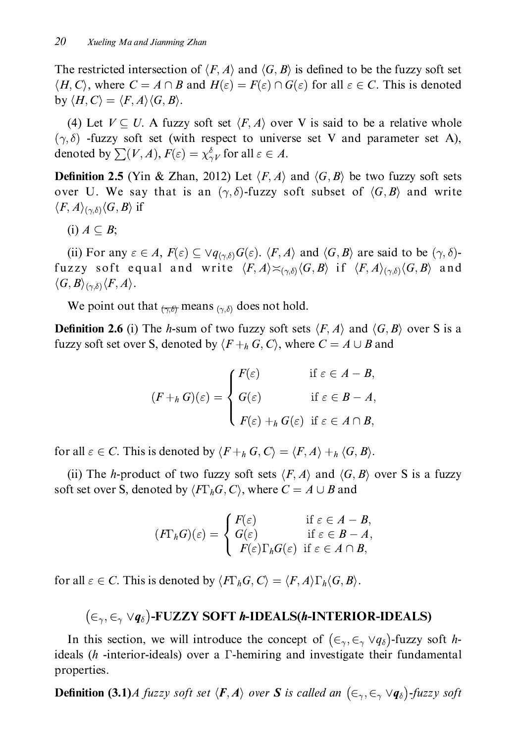The restricted intersection of  $\langle F, A \rangle$  and  $\langle G, B \rangle$  is defined to be the fuzzy soft set  $\langle H, C \rangle$ , where  $C = A \cap B$  and  $H(\varepsilon) = F(\varepsilon) \cap G(\varepsilon)$  for all  $\varepsilon \in C$ . This is denoted by  $\langle H, C \rangle = \langle F, A \rangle \langle G, B \rangle$ .

(4) Let  $V \subseteq U$ . A fuzzy soft set  $\langle F, A \rangle$  over V is said to be a relative whole  $(\gamma, \delta)$  -fuzzy soft set (with respect to universe set V and parameter set A), denoted by  $\sum(V, A), F(\varepsilon) = \chi_{\gamma V}^{\delta}$  for all  $\varepsilon \in A$ .

**Definition 2.5** (Yin & Zhan, 2012) Let  $\langle F, A \rangle$  and  $\langle G, B \rangle$  be two fuzzy soft sets over U. We say that is an  $(\gamma, \delta)$ -fuzzy soft subset of  $\langle G, B \rangle$  and write  $\langle F, A \rangle_{(\gamma, \delta)} \langle G, B \rangle$  if

(i)  $A \subseteq B$ ;

(ii) For any  $\varepsilon \in A$ ,  $F(\varepsilon) \subseteq \vee q_{(\gamma,\delta)}G(\varepsilon)$ .  $\langle F, A \rangle$  and  $\langle G, B \rangle$  are said to be  $(\gamma, \delta)$ fuzzy soft equal and write  $\langle F, A \rangle \asymp_{(\gamma,\delta)} \langle G, B \rangle$  if  $\langle F, A \rangle_{(\gamma,\delta)} \langle G, B \rangle$  and  $\langle G, B \rangle_{(\gamma, \delta)} \langle F, A \rangle.$ 

We point out that  $\frac{1}{(\gamma,\delta)}$  means  $\frac{1}{(\gamma,\delta)}$  does not hold.

**Definition 2.6** (i) The *h*-sum of two fuzzy soft sets  $\langle F, A \rangle$  and  $\langle G, B \rangle$  over S is a fuzzy soft set over S, denoted by  $\langle F+_h G, C \rangle$ , where  $C = A \cup B$  and

$$
(F+_{h}G)(\varepsilon) = \begin{cases} F(\varepsilon) & \text{if } \varepsilon \in A - B, \\ G(\varepsilon) & \text{if } \varepsilon \in B - A, \\ F(\varepsilon) +_{h} G(\varepsilon) & \text{if } \varepsilon \in A \cap B, \end{cases}
$$

for all  $\varepsilon \in C$ . This is denoted by  $\langle F+_h G, C \rangle = \langle F, A \rangle +_h \langle G, B \rangle$ .

(ii) The h-product of two fuzzy soft sets  $\langle F, A \rangle$  and  $\langle G, B \rangle$  over S is a fuzzy soft set over S, denoted by  $\langle F\Gamma_h G, C \rangle$ , where  $C = A \cup B$  and

$$
(F\Gamma_h G)(\varepsilon) = \begin{cases} F(\varepsilon) & \text{if } \varepsilon \in A - B, \\ G(\varepsilon) & \text{if } \varepsilon \in B - A, \\ F(\varepsilon) \Gamma_h G(\varepsilon) & \text{if } \varepsilon \in A \cap B, \end{cases}
$$

for all  $\varepsilon \in C$ . This is denoted by  $\langle F\Gamma_h G, C \rangle = \langle F, A \rangle \Gamma_h \langle G, B \rangle$ .

## $(\infty, \infty \vee q_{\delta})$ -FUZZY SOFT h-IDEALS(h-INTERIOR-IDEALS)

In this section, we will introduce the concept of  $(\epsilon_{\gamma}, \epsilon_{\gamma} \vee q_{\delta})$ -fuzzy soft hideals (h -interior-ideals) over a  $\Gamma$ -hemiring and investigate their fundamental properties.

**Definition (3.1)**A fuzzy soft set  $\langle F, A \rangle$  over S is called an  $(\epsilon_{\gamma}, \epsilon_{\gamma} \vee q_{\delta})$ -fuzzy soft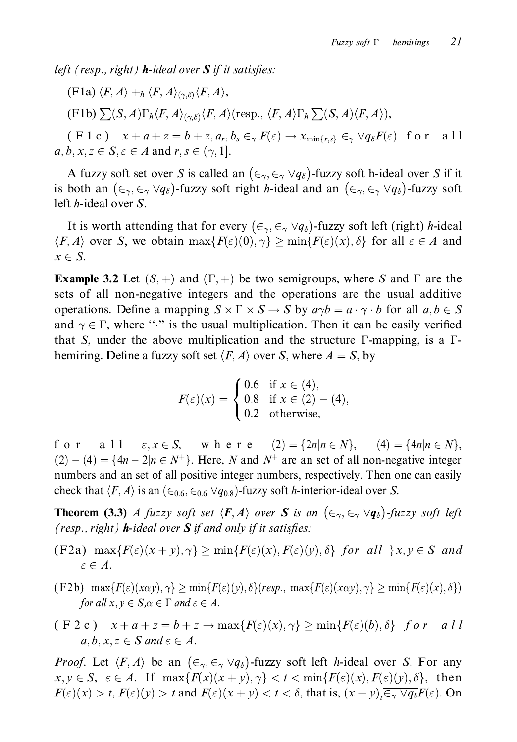left (resp., right) **h**-ideal over  $S$  if it satisfies:

(F1a) 
$$
\langle F, A \rangle +_h \langle F, A \rangle_{(\gamma, \delta)} \langle F, A \rangle
$$
,

 $(F1b)\sum(S,A)\Gamma_h\langle F,A\rangle_{(\gamma,\delta)}\langle F,A\rangle$  (resp.,  $\langle F,A\rangle\Gamma_h\sum(S,A)\langle F,A\rangle$ ),

 $(F 1 c)$   $x + a + z = b + z, a_r, b_s \in_{\gamma} F(\varepsilon) \rightarrow x_{\min\{r,s\}} \in_{\gamma} \vee q_{\delta} F(\varepsilon)$  for a 11  $a, b, x, z \in S, \varepsilon \in A$  and  $r, s \in (\gamma, 1]$ .

A fuzzy soft set over S is called an  $(\epsilon_{\gamma}, \epsilon_{\gamma} \vee q_{\delta})$ -fuzzy soft h-ideal over S if it is both an  $(\epsilon_{\gamma}, \epsilon_{\gamma} \vee q_{\delta})$ -fuzzy soft right *h*-ideal and an  $(\epsilon_{\gamma}, \epsilon_{\gamma} \vee q_{\delta})$ -fuzzy soft left *h*-ideal over *S*.

It is worth attending that for every  $(\epsilon_{\gamma}, \epsilon_{\gamma} \vee q_{\delta})$ -fuzzy soft left (right) *h*-ideal  $\langle F, A \rangle$  over S, we obtain  $\max\{F(\varepsilon)(0), \gamma\} \ge \min\{F(\varepsilon)(x), \delta\}$  for all  $\varepsilon \in A$  and  $x \in S$ .

**Example 3.2** Let  $(S, +)$  and  $(\Gamma, +)$  be two semigroups, where S and  $\Gamma$  are the sets of all non-negative integers and the operations are the usual additive operations. Define a mapping  $S \times \Gamma \times S \rightarrow S$  by  $a\gamma b = a \cdot \gamma \cdot b$  for all  $a, b \in S$ and  $\gamma \in \Gamma$ , where "." is the usual multiplication. Then it can be easily verified that S, under the above multiplication and the structure  $\Gamma$ -mapping, is a  $\Gamma$ hemiring. Define a fuzzy soft set  $\langle F, A \rangle$  over S, where  $A = S$ , by

$$
F(\varepsilon)(x) = \begin{cases} 0.6 & \text{if } x \in (4), \\ 0.8 & \text{if } x \in (2) - (4), \\ 0.2 & \text{otherwise}, \end{cases}
$$

a 1 1  $\varepsilon, x \in S$ , where  $(2) = \{2n | n \in N\}$ ,  $(4) = \{4n | n \in N\}$ , for  $(2) - (4) = {4n - 2|n \in N^+}.$  Here, N and N<sup>+</sup> are an set of all non-negative integer numbers and an set of all positive integer numbers, respectively. Then one can easily check that  $\langle F, A \rangle$  is an  $(\epsilon_{0.6}, \epsilon_{0.6} \vee q_{0.8})$ -fuzzy soft *h*-interior-ideal over *S*.

**Theorem (3.3)** A fuzzy soft set  $\langle F, A \rangle$  over S is an  $(\epsilon_{\gamma}, \epsilon_{\gamma} \vee q_{\delta})$ -fuzzy soft left (resp., right)  $h$ -ideal over  $S$  if and only if it satisfies:

- (F2a)  $\max\{F(\varepsilon)(x+y),\gamma\}\geq \min\{F(\varepsilon)(x),F(\varepsilon)(y),\delta\}$  for all  $\}x, y \in S$  and  $\varepsilon \in A$ .
- $(F2b)$  max $\{F(\varepsilon)(x\alpha y), \gamma\} \ge \min\{F(\varepsilon)(y), \delta\}$  (resp., max $\{F(\varepsilon)(x\alpha y), \gamma\} \ge \min\{F(\varepsilon)(x), \delta\}$ ) for all  $x, y \in S, \alpha \in \Gamma$  and  $\varepsilon \in A$ .
- $(F 2 c)$   $x + a + z = b + z \rightarrow max{F(\varepsilon)(x), \gamma} \ge min{F(\varepsilon)(b), \delta}$  for all  $a, b, x, z \in S$  and  $\varepsilon \in A$ .

*Proof.* Let  $\langle F, A \rangle$  be an  $(\epsilon_{\gamma}, \epsilon_{\gamma} \vee q_{\delta})$ -fuzzy soft left *h*-ideal over *S*. For any  $x, y \in S$ ,  $\varepsilon \in A$ . If  $\max\{F(x)(x+y), \gamma\} < t < \min\{F(\varepsilon)(x), F(\varepsilon)(y), \delta\}$ , then  $F(\varepsilon)(x) > t$ ,  $F(\varepsilon)(y) > t$  and  $F(\varepsilon)(x + y) < t < \delta$ , that is,  $(x + y)$ ,  $\overline{\varepsilon_{\gamma} \vee q_{\delta}} F(\varepsilon)$ . On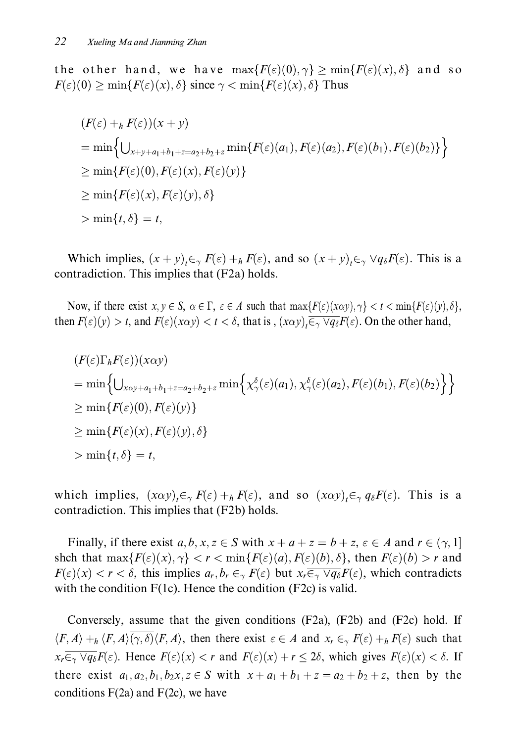the biner hand, we have  $\max_{x \in \mathbb{R}^n} \{ \zeta(x, y, y) \le \min_{x \in \mathbb{R}^n} \{ \zeta(x, y, z) \}$  and so  $F(\varepsilon)(0) \ge \min\{F(\varepsilon)(x), \delta\}$  since  $\gamma < \min\{F(\varepsilon)(x), \delta\}$  Thus

$$
(F(\varepsilon) + {}_h F(\varepsilon))(x + y)
$$
  
= min  $\Big\{ \bigcup_{x+y+a_1+b_1+z=a_2+b_2+z} \min\{F(\varepsilon)(a_1), F(\varepsilon)(a_2), F(\varepsilon)(b_1), F(\varepsilon)(b_2)\}\Big\}$   
 $\geq \min\{F(\varepsilon)(0), F(\varepsilon)(x), F(\varepsilon)(y)\}\$   
 $\geq \min\{F(\varepsilon)(x), F(\varepsilon)(y), \delta\}$   
 $\geq \min\{t, \delta\} = t,$ 

Which implies,  $(x + y)_t \in_{\gamma} F(\varepsilon) + _h F(\varepsilon)$ , and so  $(x + y)_t \in_{\gamma} \vee q_{\delta} F(\varepsilon)$ . This is a contradiction. This implies that (F2a) holds.

 $\Gamma(x)$  if there exist  $\lambda, y \in S$ ,  $\alpha \in I$ ,  $\epsilon \in A$  such that  $\max_{I} \Gamma(\epsilon) (\lambda \alpha y), \gamma \in I \setminus \min_{I} \mathbb{R}$  $\frac{\Gamma(\varepsilon)(\lambda\alpha y)}{\Gamma(\varepsilon)}$   $\Gamma(\varepsilon) \cap \Omega$   $\Gamma(\varepsilon) \cap \Omega$ then  $F(\varepsilon)(y) > t$ , and  $F(\varepsilon)(x\alpha y) < t < \delta$ , that is ,  $(x\alpha y)_t \in \gamma \lor q_\delta F(\varepsilon)$ . On the other hand,

$$
(F(\varepsilon)\Gamma_h F(\varepsilon))(x\alpha y)
$$
  
= min  $\left\{ \bigcup_{x\alpha y+a_1+b_1+z=a_2+b_2+z} \min \left\{ \chi_\gamma^\delta(\varepsilon)(a_1), \chi_\gamma^\delta(\varepsilon)(a_2), F(\varepsilon)(b_1), F(\varepsilon)(b_2) \right\} \right\}$   
 $\ge \min \{ F(\varepsilon)(0), F(\varepsilon)(y) \}$   
 $\ge \min \{ F(\varepsilon)(x), F(\varepsilon)(y), \delta \}$   
 $\ge \min \{ t, \delta \} = t,$ 

which implies,  $(x\alpha y)_t \in \gamma F(\varepsilon) + h F(\varepsilon)$ , and so  $(x\alpha y)_t \in \gamma g_\delta F(\varepsilon)$ . This is a contradiction. This implies that (F2b) holds.

Finally, if there exist  $a, b, x, z \in S$  with  $x + a + z = b + z, \varepsilon \in A$  and  $r \in (\gamma, 1]$  $\sum_{i=1}^n \sum_{i=1}^n (C_i(x_i), y_i(x_i))$  $F(\varepsilon)(x) < r < \delta$ , this implies  $a_r, b_r \in_\gamma F(\varepsilon)$  but  $x_r \in_\gamma \vee q_\delta F(\varepsilon)$ , which contradicts with the condition  $F(1c)$ . Hence the condition  $(F2c)$  is valid.

Conversely, assume that the given conditions  $(F2a)$ ,  $(F2b)$  and  $(F2c)$  hold. If  $\langle F, A \rangle \pm h \langle F, A \rangle \langle F, \langle F, A \rangle$ , then there exist  $\varepsilon \in A$  and  $\lambda_r \in \gamma F(\varepsilon) \pm h F(\varepsilon)$  such that  $x_r \in \gamma \lor q_\delta r(\epsilon)$ . Hence  $F(\epsilon)(x) < r$  and  $F(\epsilon)(x) + r \leq 20$ , which gives  $F(\epsilon)(x) < 0$ . If there exist  $a_1, a_2, b_1, b_2x, z \in S$  with  $x + a_1 + b_1 + z = a_2 + b_2 + z$ , then by the conditions  $F(2a)$  and  $F(2c)$ , we have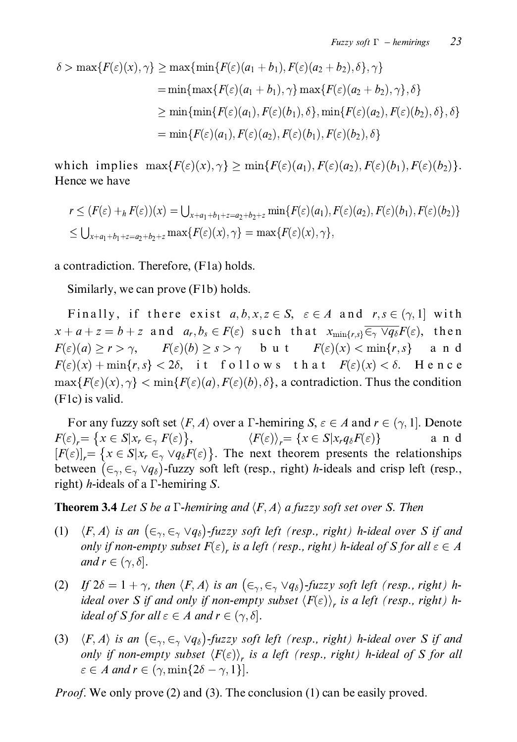$$
\delta > \max\{F(\varepsilon)(x), \gamma\} \ge \max\{\min\{F(\varepsilon)(a_1 + b_1), F(\varepsilon)(a_2 + b_2), \delta\}, \gamma\}
$$
  
\n
$$
= \min\{\max\{F(\varepsilon)(a_1 + b_1), \gamma\} \max\{F(\varepsilon)(a_2 + b_2), \gamma\}, \delta\}
$$
  
\n
$$
\ge \min\{\min\{F(\varepsilon)(a_1), F(\varepsilon)(b_1), \delta\}, \min\{F(\varepsilon)(a_2), F(\varepsilon)(b_2), \delta\}, \delta\}
$$
  
\n
$$
= \min\{F(\varepsilon)(a_1), F(\varepsilon)(a_2), F(\varepsilon)(b_1), F(\varepsilon)(b_2), \delta\}
$$

which implies  $\max\{F(\varepsilon)(x), \gamma\} \ge \min\{F(\varepsilon)(a_1), F(\varepsilon)(a_2), F(\varepsilon)(b_1), F(\varepsilon)(b_2)\}.$ Hence we have

$$
r \leq (F(\varepsilon) +_h F(\varepsilon))(x) = \bigcup_{x+a_1+b_1+z=a_2+b_2+z} \min\{F(\varepsilon)(a_1), F(\varepsilon)(a_2), F(\varepsilon)(b_1), F(\varepsilon)(b_2)\}
$$
  

$$
\leq \bigcup_{x+a_1+b_1+z=a_2+b_2+z} \max\{F(\varepsilon)(x), \gamma\} = \max\{F(\varepsilon)(x), \gamma\},
$$

a contradiction. Therefore, (F1a) holds.

Similarly, we can prove (F1b) holds.

Finally, if there exist  $a, b, x, z \in S$ ,  $\varepsilon \in A$  and  $r, s \in (\gamma, 1]$  with  $x + a + z = b + z$  and  $a_r, b_s \in F(\varepsilon)$  such that  $x_{\min\{r,s\}} \overline{\in_{\gamma} \vee q_{\delta}} F(\varepsilon)$ , then  $F(\varepsilon)(a) \ge r > \gamma$ ,  $F(\varepsilon)(b) \ge s > \gamma$  but  $F(\varepsilon)(x) < \min\{r, s\}$  and  $F(\varepsilon)(x) + \min\{r, s\} < 2\delta$ , it follows that  $F(\varepsilon)(x) < \delta$ . Hence  $\max\{F(\varepsilon)(x),\gamma\} < \min\{F(\varepsilon)(a),F(\varepsilon)(b),\delta\}$ , a contradiction. Thus the condition (F1c) is valid.

For any fuzzy soft set  $\langle F, A \rangle$  over a  $\Gamma$ -hemiring  $S, \varepsilon \in A$  and  $r \in (\gamma, 1]$ . Denote  $F(\varepsilon)_r = \{x \in S | x_r \in T_r(\varepsilon)\},\$  $\langle F(\varepsilon) \rangle_r = \{ x \in S | x_r q_\delta F(\varepsilon) \}$ and  $[F(\varepsilon)]_r = \{x \in S | x_r \in \mathcal{A} \vee q_\delta F(\varepsilon)\}.$  The next theorem presents the relationships between  $(\epsilon_{\gamma}, \epsilon_{\gamma} \vee q_{\delta})$ -fuzzy soft left (resp., right) *h*-ideals and crisp left (resp., right) *h*-ideals of a  $\Gamma$ -hemiring S.

**Theorem 3.4** Let S be a  $\Gamma$ -hemiring and  $\langle F, A \rangle$  a fuzzy soft set over S. Then

- $\langle F, A \rangle$  is an  $(\epsilon_{\gamma}, \epsilon_{\gamma} \vee q_{\delta})$ -fuzzy soft left (resp., right) h-ideal over S if and  $(1)$ only if non-empty subset  $F(\varepsilon)$ , is a left (resp., right) h-ideal of S for all  $\varepsilon \in A$ and  $r \in (\gamma, \delta]$ .
- (2) If  $2\delta = 1 + \gamma$ , then  $\langle F, A \rangle$  is an  $(\epsilon_{\gamma}, \epsilon_{\gamma} \vee q_{\delta})$ -fuzzy soft left (resp., right) hideal over S if and only if non-empty subset  $\langle F(\varepsilon) \rangle_r$  is a left (resp., right) hideal of S for all  $\varepsilon \in A$  and  $r \in (\gamma, \delta]$ .
- (3)  $\langle F, A \rangle$  is an  $(\epsilon_{\gamma}, \epsilon_{\gamma} \vee q_{\delta})$ -fuzzy soft left (resp., right) h-ideal over S if and only if non-empty subset  $\langle F(\varepsilon) \rangle_r$  is a left (resp., right) h-ideal of S for all  $\varepsilon \in A$  and  $r \in (\gamma, \min\{2\delta - \gamma, 1\}]$ .

*Proof.* We only prove (2) and (3). The conclusion (1) can be easily proved.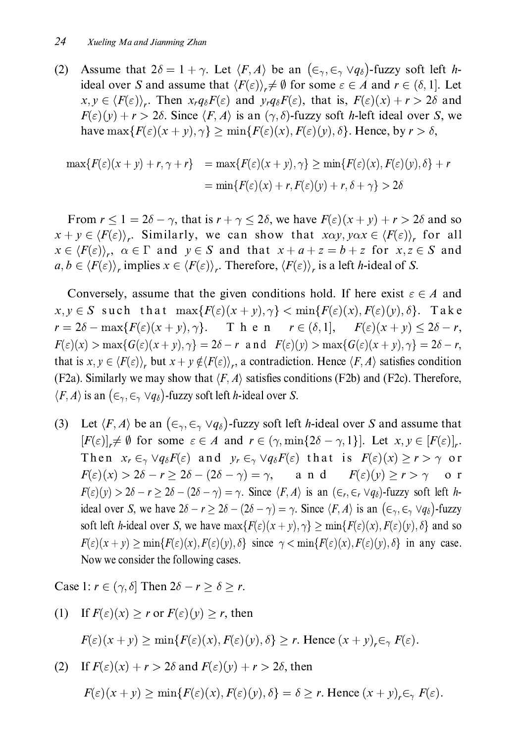(2) Assume that  $2\delta = 1 + \gamma$ . Let  $\langle F, A \rangle$  be an  $(\epsilon_{\gamma}, \epsilon_{\gamma} \vee q_{\delta})$ -fuzzy soft left h-) . + 
""+ 5 &  $r \neq v$  for some  $\varepsilon \in A$  and  $r \in (0, 1]$ .  $x, y \in \langle F(\varepsilon) \rangle_r$ . Then  $x_r q_\delta F(\varepsilon)$  and  $y_r q_\delta F(\varepsilon)$ , that is,  $F(\varepsilon)(x) + r > 2\delta$  and  $\overline{\phantom{a}}$  $F(\varepsilon)(y)$  +  $t > 20$ . Since  $\langle F, A \rangle$  is an  $\langle f, 0 \rangle$ -ruzzy sort *n*-ierr rical over *S*, we  $\max_{\mathbf{I}} \sum_{i=1}^n \sum_{j=1}^n \sum_{j=1}^n \mathbf{I}^T(\mathcal{E}_{j}|\mathcal{X}_{j}, \mathcal{F}_{j}(\mathcal{E}_{j}|\mathcal{Y}_{j}), \mathcal{F}_{j}(\mathcal{F}_{j}|\mathcal{X}_{j}, \mathcal{F}_{j}(\mathcal{F}_{j}|\mathcal{Y}_{j}))$ 

$$
\max\{F(\varepsilon)(x+y)+r,\gamma+r\} = \max\{F(\varepsilon)(x+y),\gamma\} \ge \min\{F(\varepsilon)(x),F(\varepsilon)(y),\delta\}+r
$$

$$
= \min\{F(\varepsilon)(x)+r,F(\varepsilon)(y)+r,\delta+\gamma\} > 2\delta
$$

 $\frac{1}{2}$  f = 20 - f, that is  $t \neq t \le 20$ , we have  $I(c)(x \neq y) \neq t > 20$  and so  $x \pm y \in \langle F(\varepsilon)/f, \cdot \rangle$  similarly, we can show that  $x \alpha y, y \alpha x \in \langle F(\varepsilon)/f, \cdot \rangle$  for an  $\overline{1}$   $\overline{1}$   $\overline{1}$   $\overline{1}$   $\overline{1}$   $\overline{1}$   $\overline{1}$   $\overline{1}$   $\overline{1}$   $\overline{1}$   $\overline{1}$   $\overline{1}$   $\overline{1}$   $\overline{1}$   $\overline{1}$   $\overline{1}$   $\overline{1}$   $\overline{1}$   $\overline{1}$   $\overline{1}$   $\overline{1}$   $\overline{1}$   $\overline{1}$   $\overline{1}$   $\overline{$  $x \in \langle \Gamma(\varepsilon)/\rangle$ ,  $\alpha \in \Gamma$  and  $y \in S$  and that  $x \top u \top z = v \top z$  for  $x, z \in S$  and  $\overline{\phantom{a}}$  $a, b \in \langle F(\varepsilon) \rangle_r$  implies  $x \in \langle F(\varepsilon) \rangle_r$ . Therefore,  $\langle F(\varepsilon) \rangle_r$  is a left *h*-ideal of *S*.

Conversely, assume that the given conditions hold. If here exist  $\varepsilon \in A$  and  $x, y \in S$  such that  $\max\{F(\varepsilon)(x+y), \gamma\} < \min\{F(\varepsilon)(x), F(\varepsilon)(y), \delta\}.$  Take  $r = 2\delta - \max\{F(\varepsilon)(x+y), \gamma\}.$  Then  $r \in (\delta, 1],$   $F(\varepsilon)(x+y) \leq 2\delta - r,$  $T(\varepsilon)(\lambda)$  max $\mathcal{O}(\varepsilon)(\lambda + y)$ ,  $\int f - 2v = r$  and  $T(\varepsilon)(y)$  max $\mathcal{O}(\varepsilon)(\lambda + y)$ ,  $\int f - 2v = r$ , that is  $x, y \in \langle \Gamma(\epsilon)/\rangle_r$  but  $x \in y \notin \langle \Gamma(\epsilon)/\rangle_r$ , a contradiction. Trence  $\langle \Gamma, \Pi \rangle$  satisfies condition (F2a). Similarly we may show that  $\langle F, A \rangle$  satisfies conditions (F2b) and (F2c). Therefore,  $\langle F, A \rangle$  is an  $(\epsilon_{\gamma}, \epsilon_{\gamma} \vee q_{\delta})$ -fuzzy soft left *h*-ideal over *S*.

(3) Let  $\langle F, A \rangle$  be an  $(\epsilon_{\gamma}, \epsilon_{\gamma} \vee q_{\delta})$ -fuzzy soft left *h*-ideal over *S* and assume that  $[T(\varepsilon)]_r \neq \emptyset$  for some  $\varepsilon \in A$  and  $T \in \{T, \min\{20 - T, T\}\}$ . Let  $x, y \in [T(\varepsilon)]_r$ . Then  $x_r \in_\gamma \vee q_\delta F(\varepsilon)$  and  $y_r \in_\gamma \vee q_\delta F(\varepsilon)$  that is  $F(\varepsilon)(x) \ge r > \gamma$  or  $T(\varepsilon)(x) > 2\sigma - r \geq 2\sigma - (2\sigma - \gamma) = \gamma,$  and  $T(\varepsilon)(y) \geq r > \gamma$  or  $F(\varepsilon)(y) > 20 - r \ge 20 - (20 - \gamma) = \gamma$ . Since  $\langle r, A \rangle$  is an  $(\varepsilon_r, \varepsilon_r \vee q_\delta)$ -tuzzy soit lett *n*ideal over S, we have  $2\delta - r \ge 2\delta - (2\delta - \gamma) = \gamma$ . Since  $\langle F, A \rangle$  is an  $(\epsilon_{\gamma}, \epsilon_{\gamma} \vee q_{\delta})$ -fuzzy SOIT LET *n*-litted byth *b*, we have  $\max\{F(\varepsilon)(x+y), y\} \leq \min\{F(\varepsilon)(x), F(\varepsilon)(y), y\}$  and so  $T(\varepsilon)(x) + y \le \min\{T(\varepsilon)(x), T(\varepsilon)(y), 0\}$  since  $\gamma \le \min\{T(\varepsilon)(x), T(\varepsilon)(y), 0\}$  in any case. Now we consider the following cases.

Case 1:  $r \in (\gamma, \delta]$  Then  $2\delta - r \ge \delta \ge r$ .

(1) If  $F(\varepsilon)(x) \ge r$  or  $F(\varepsilon)(y) \ge r$ , then

 $T(\varepsilon)(x+y) \geq \min\{T(\varepsilon)(x), T(\varepsilon)(y), 0\} \leq T.$  Hence  $(x+y)_r \in \gamma T(\varepsilon)$ .

(2) If  $\Gamma(\varepsilon)(x) + \Gamma > 2\sigma$  and  $\Gamma(\varepsilon)(y) + \Gamma > 2\sigma$ , then

$$
F(\varepsilon)(x+y) \ge \min\{F(\varepsilon)(x), F(\varepsilon)(y), \delta\} = \delta \ge r.
$$
 Hence  $(x+y)_r \in_{\gamma} F(\varepsilon)$ .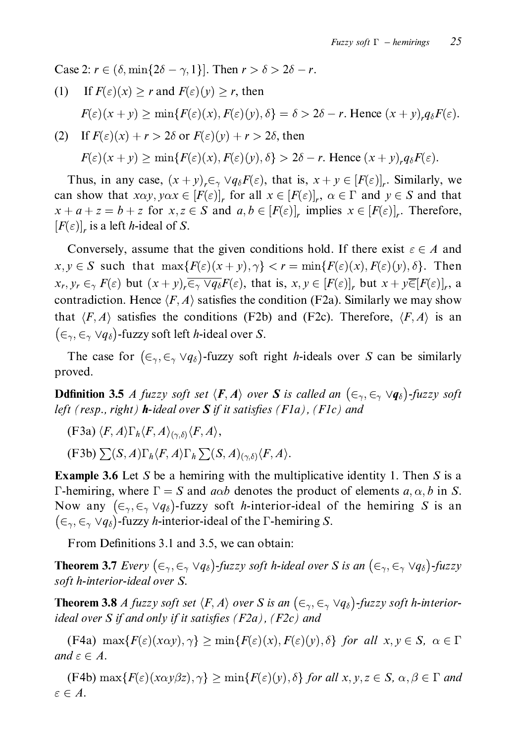Case 2:  $r \in (\delta, \min\{2\delta - \gamma, 1\}]$ . Then  $r > \delta > 2\delta - r$ .

If  $F(\varepsilon)(x) > r$  and  $F(\varepsilon)(y) > r$ , then  $(1)$  $F(\varepsilon)(x+y) \ge \min\{F(\varepsilon)(x), F(\varepsilon)(y), \delta\} = \delta > 2\delta - r$ . Hence  $(x+y)_r q_\delta F(\varepsilon)$ .

(2) If 
$$
F(\varepsilon)(x) + r > 2\delta
$$
 or  $F(\varepsilon)(y) + r > 2\delta$ , then  
\n
$$
F(\varepsilon)(x + y) \ge \min\{F(\varepsilon)(x), F(\varepsilon)(y), \delta\} > 2\delta - r.
$$
 Hence  $(x + y)_r q_\delta F(\varepsilon)$ .

Thus, in any case,  $(x + y)_r \in \sqrt{q_\delta F(\varepsilon)}$ , that is,  $x + y \in [F(\varepsilon)]_r$ . Similarly, we can show that  $x\alpha y, y\alpha x \in [F(\varepsilon)]_r$  for all  $x \in [F(\varepsilon)]_r$ ,  $\alpha \in \Gamma$  and  $y \in S$  and that  $x + a + z = b + z$  for  $x, z \in S$  and  $a, b \in [F(\varepsilon)]_r$  implies  $x \in [F(\varepsilon)]_r$ . Therefore,  $[F(\varepsilon)]$ , is a left *h*-ideal of *S*.

Conversely, assume that the given conditions hold. If there exist  $\varepsilon \in A$  and  $x, y \in S$  such that  $\max\{F(\varepsilon)(x+y), \gamma\} < r = \min\{F(\varepsilon)(x), F(\varepsilon)(y), \delta\}.$  Then  $x_r, y_r \in_{\gamma} F(\varepsilon)$  but  $(x + y)_r \overline{\in_{\gamma} \vee q_{\delta}} F(\varepsilon)$ , that is,  $x, y \in [F(\varepsilon)]_r$  but  $x + y \overline{\in} [F(\varepsilon)]_r$ , a contradiction. Hence  $\langle F, A \rangle$  satisfies the condition (F2a). Similarly we may show that  $\langle F, A \rangle$  satisfies the conditions (F2b) and (F2c). Therefore,  $\langle F, A \rangle$  is an  $(\epsilon_{\gamma}, \epsilon_{\gamma} \vee q_{\delta})$ -fuzzy soft left *h*-ideal over *S*.

The case for  $(\epsilon_{\gamma}, \epsilon_{\gamma} \vee q_{\delta})$ -fuzzy soft right *h*-ideals over *S* can be similarly proved.

**Ddfinition 3.5** A fuzzy soft set  $\langle F, A \rangle$  over S is called an  $(\epsilon_{\gamma}, \epsilon_{\gamma} \vee q_{\delta})$ -fuzzy soft left (resp., right) **h**-ideal over  $S$  if it satisfies (F1a), (F1c) and

- $(F3a) \langle F, A \rangle \Gamma_h \langle F, A \rangle_{(\sim \delta)} \langle F, A \rangle$
- $(F3b) \sum (S, A) \Gamma_h \langle F, A \rangle \Gamma_h \sum (S, A)_{(\alpha, \delta)} \langle F, A \rangle.$

**Example 3.6** Let S be a hemiring with the multiplicative identity 1. Then S is a  $\Gamma$ -hemiring, where  $\Gamma = S$  and  $a\alpha b$  denotes the product of elements  $a, \alpha, b$  in S. Now any  $(\epsilon_{\gamma}, \epsilon_{\gamma} \vee q_{\delta})$ -fuzzy soft *h*-interior-ideal of the hemiring S is an  $(\epsilon_{\gamma}, \epsilon_{\gamma} \vee q_{\delta})$ -fuzzy *h*-interior-ideal of the  $\Gamma$ -hemiring *S*.

From Definitions 3.1 and 3.5, we can obtain:

**Theorem 3.7** Every  $(\epsilon_{\gamma}, \epsilon_{\gamma} \vee q_{\delta})$ -fuzzy soft h-ideal over S is an  $(\epsilon_{\gamma}, \epsilon_{\gamma} \vee q_{\delta})$ -fuzzy soft h-interior-ideal over S.

**Theorem 3.8** A fuzzy soft set  $\langle F, A \rangle$  over S is an  $(\epsilon_{\gamma}, \epsilon_{\gamma} \vee q_{\delta})$ -fuzzy soft h-interiorideal over S if and only if it satisfies  $(F2a)$ ,  $(F2c)$  and

 $(F4a) \ \max\{F(\varepsilon)(x\alpha y), \gamma\} \ge \min\{F(\varepsilon)(x), F(\varepsilon)(y), \delta\}$  for all  $x, y \in S$ ,  $\alpha \in \Gamma$ and  $\varepsilon \in A$ .

(F4b)  $\max\{F(\varepsilon)(x\alpha y\beta z),\gamma\}\geq \min\{F(\varepsilon)(y),\delta\}$  for all  $x, y, z \in S$ ,  $\alpha, \beta \in \Gamma$  and  $\varepsilon \in A$ .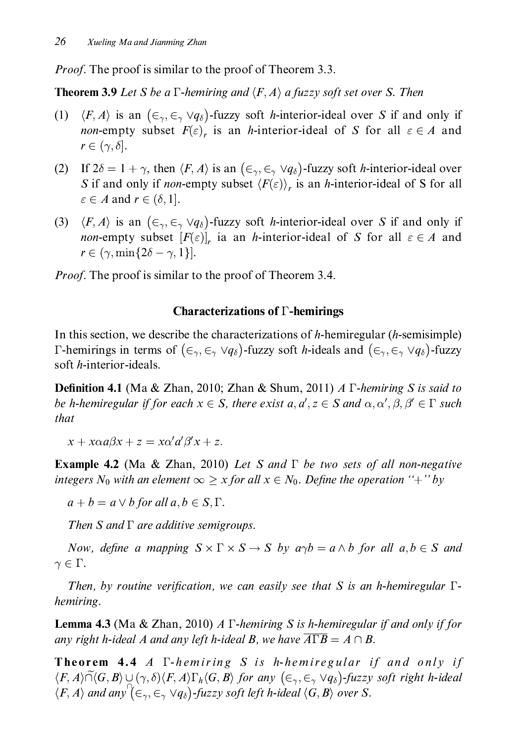*Proof.* The proof is similar to the proof of Theorem 3.3.

**Theorem 3.9** Let S be a  $\Gamma$ -hemiring and  $\langle F, A \rangle$  a fuzzy soft set over S. Then

- $\langle F, A \rangle$  is an  $(\epsilon_{\gamma}, \epsilon_{\gamma} \vee q_{\delta})$ -fuzzy soft *h*-interior-ideal over *S* if and only if  $(1)$ *non*-empty subset  $F(\varepsilon)$ , is an *h*-interior-ideal of S for all  $\varepsilon \in A$  and  $r \in (\gamma, \delta].$
- (2) If  $2\delta = 1 + \gamma$ , then  $\langle F, A \rangle$  is an  $(\epsilon_{\gamma}, \epsilon_{\gamma} \vee q_{\delta})$ -fuzzy soft *h*-interior-ideal over S if and only if *non*-empty subset  $\langle F(\varepsilon) \rangle$ , is an *h*-interior-ideal of S for all  $\varepsilon \in A$  and  $r \in (\delta, 1]$ .
- (3)  $\langle F, A \rangle$  is an  $(\epsilon_{\gamma}, \epsilon_{\gamma} \vee q_{\delta})$ -fuzzy soft *h*-interior-ideal over *S* if and only if *non*-empty subset  $[F(\varepsilon)]_r$  ia an *h*-interior-ideal of S for all  $\varepsilon \in A$  and  $r \in (\gamma, \min\{2\delta - \gamma, 1\}].$

*Proof.* The proof is similar to the proof of Theorem 3.4.

## **Characterizations of**  $\Gamma$ **-hemirings**

In this section, we describe the characterizations of h-hemiregular  $(h$ -semisimple)  $\Gamma$ -hemirings in terms of  $(\epsilon_{\gamma}, \epsilon_{\gamma} \vee q_{\delta})$ -fuzzy soft *h*-ideals and  $(\epsilon_{\gamma}, \epsilon_{\gamma} \vee q_{\delta})$ -fuzzy soft *h*-interior-ideals.

**Definition 4.1** (Ma & Zhan, 2010; Zhan & Shum, 2011) A  $\Gamma$ -hemiring S is said to be h-hemiregular if for each  $x \in S$ , there exist  $a, a', z \in S$  and  $\alpha, \alpha', \beta, \beta' \in \Gamma$  such that

 $x + x\alpha a\beta x + z = x\alpha' a'\beta' x + z.$ 

**Example 4.2** (Ma & Zhan, 2010) Let S and  $\Gamma$  be two sets of all non-negative integers  $N_0$  with an element  $\infty \geq x$  for all  $x \in N_0$ . Define the operation "+" by

 $a + b = a \vee b$  for all  $a, b \in S, \Gamma$ .

Then  $S$  and  $\Gamma$  are additive semigroups.

Now, define a mapping  $S \times \Gamma \times S \rightarrow S$  by  $a\gamma b = a \wedge b$  for all  $a, b \in S$  and  $\gamma \in \Gamma$ .

Then, by routine verification, we can easily see that S is an h-hemiregular  $\Gamma$ hemiring.

**Lemma 4.3** (Ma & Zhan, 2010) A  $\Gamma$ -hemiring S is h-hemiregular if and only if for any right h-ideal A and any left h-ideal B, we have  $\overline{A\Gamma B} = A \cap B$ .

**Theorem 4.4** A *T*-hemiring *S* is h-hemiregular if and only if  $\langle F, A \rangle \widetilde{\cap} \langle G, B \rangle \cup (\gamma, \delta) \langle F, A \rangle \Gamma_h \langle G, B \rangle$  for any  $(\epsilon_{\gamma}, \epsilon_{\gamma} \vee q_{\delta})$ -fuzzy soft right h-ideal  $\langle F, A \rangle$  and any  $\langle \in_{\gamma}, \in_{\gamma} \vee q_{\delta} \rangle$ -fuzzy soft left h-ideal  $\langle G, B \rangle$  over S.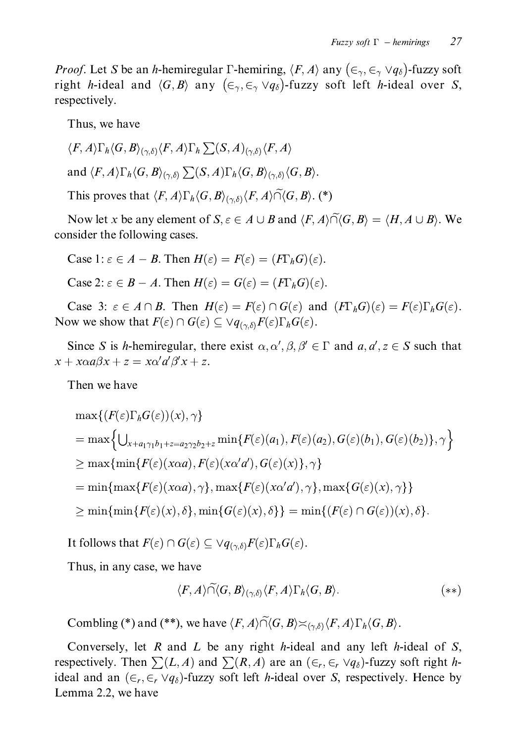*Proof.* Let S be an h-hemiregular  $\Gamma$ -hemiring,  $\langle F, A \rangle$  any  $(\epsilon_{\gamma}, \epsilon_{\gamma} \lor q_{\delta})$ -fuzzy soft right h-ideal and  $\langle G, B \rangle$  any  $(\epsilon_{\gamma}, \epsilon_{\gamma} \vee q_{\delta})$ -fuzzy soft left h-ideal over S, respectively.

Thus, we have

$$
\langle F, A \rangle \Gamma_h \langle G, B \rangle_{(\gamma, \delta)} \langle F, A \rangle \Gamma_h \sum(S, A)_{(\gamma, \delta)} \langle F, A \rangle
$$
  
and  $\langle F, A \rangle \Gamma_h \langle G, B \rangle_{(\gamma, \delta)} \sum(S, A) \Gamma_h \langle G, B \rangle_{(\gamma, \delta)} \langle G, B \rangle.$ 

This proves that  $\langle F, A \rangle \Gamma_h \langle G, B \rangle_{(\gamma, \delta)} \langle F, A \rangle \tilde{\cap} \langle G, B \rangle$ . (\*)

Now let x be any element of  $S, \varepsilon \in A \cup B$  and  $\langle F, A \rangle \widetilde{\cap} \langle G, B \rangle = \langle H, A \cup B \rangle$ . We consider the following cases.

Case 1:  $\varepsilon \in A - B$ . Then  $H(\varepsilon) = F(\varepsilon) = (F\Gamma_h G)(\varepsilon)$ .

Case 2:  $\varepsilon \in B - A$ . Then  $H(\varepsilon) = G(\varepsilon) = (F\Gamma_h G)(\varepsilon)$ .

Case 3:  $\varepsilon \in A \cap B$ . Then  $H(\varepsilon) = F(\varepsilon) \cap G(\varepsilon)$  and  $(F\Gamma_h G)(\varepsilon) = F(\varepsilon) \Gamma_h G(\varepsilon)$ . Now we show that  $F(\varepsilon) \cap G(\varepsilon) \subseteq \forall q_{(\gamma,\delta)} F(\varepsilon) \Gamma_h G(\varepsilon)$ .

Since S is h-hemiregular, there exist  $\alpha, \alpha', \beta, \beta' \in \Gamma$  and  $a, a', z \in S$  such that  $x + x\alpha a\beta x + z = x\alpha' a'\beta' x + z.$ 

Then we have

$$
\max\{ (F(\varepsilon)\Gamma_h G(\varepsilon))(x), \gamma \}
$$
  
= 
$$
\max\{ \bigcup_{x+a_1\gamma_1 b_1+z=a_2\gamma_2 b_2+z} \min\{ F(\varepsilon)(a_1), F(\varepsilon)(a_2), G(\varepsilon)(b_1), G(\varepsilon)(b_2) \}, \gamma \}
$$
  

$$
\geq \max\{ \min\{ F(\varepsilon)(x\alpha a), F(\varepsilon)(x\alpha' a'), G(\varepsilon)(x) \}, \gamma \}
$$
  
= 
$$
\min\{ \max\{ F(\varepsilon)(x\alpha a), \gamma \}, \max\{ F(\varepsilon)(x\alpha' a'), \gamma \}, \max\{ G(\varepsilon)(x), \gamma \} \}
$$
  

$$
\geq \min\{ \min\{ F(\varepsilon)(x), \delta \}, \min\{ G(\varepsilon)(x), \delta \} \} = \min\{ (F(\varepsilon) \cap G(\varepsilon))(x), \delta \}.
$$

It follows that  $F(\varepsilon) \cap G(\varepsilon) \subseteq \forall q_{(\gamma,\delta)} F(\varepsilon) \Gamma_h G(\varepsilon)$ .

Thus, in any case, we have

$$
\langle F, A \rangle \widetilde{\cap} \langle G, B \rangle_{(\gamma, \delta)} \langle F, A \rangle \Gamma_h \langle G, B \rangle. \tag{**}
$$

Combling (\*) and (\*\*), we have  $\langle F, A \rangle \widetilde{\cap} \langle G, B \rangle \asymp_{(\gamma,\delta)} \langle F, A \rangle \Gamma_h \langle G, B \rangle$ .

Conversely, let R and L be any right h-ideal and any left h-ideal of S, respectively. Then  $\sum(L, A)$  and  $\sum(R, A)$  are an  $(\epsilon_r, \epsilon_r \vee q_\delta)$ -fuzzy soft right hideal and an  $(\epsilon_r, \epsilon_r \vee q_\delta)$ -fuzzy soft left *h*-ideal over *S*, respectively. Hence by Lemma 2.2, we have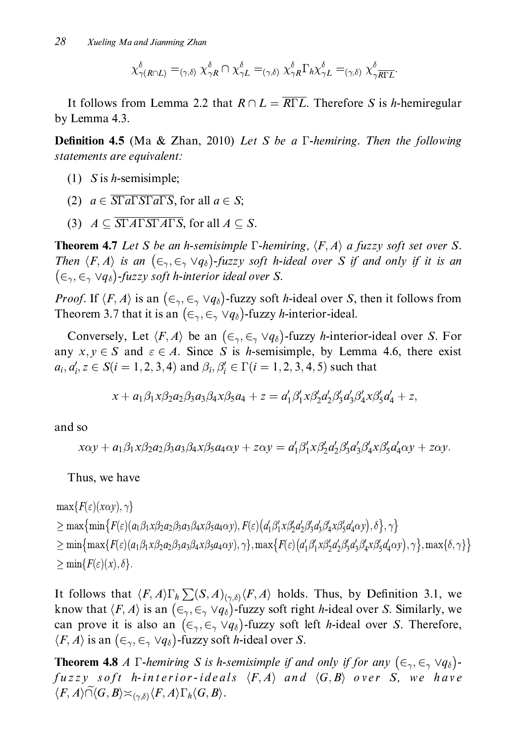$$
\chi^\delta_{\gamma(R\cap L)}=_{(\gamma,\delta)}\chi^\delta_{\gamma R}\cap\chi^\delta_{\gamma L}=_{(\gamma,\delta)}\chi^\delta_{\gamma R}\Gamma_h\chi^\delta_{\gamma L}=_{(\gamma,\delta)}\chi^\delta_{\gamma\overline{R\Gamma L}}.
$$

It follows from Lemma 2.2 that  $R \cap L = \overline{R \Gamma L}$ . Therefore S is h-hemiregular by Lemma 4.3.

**Definition 4.5** (Ma & Zhan, 2010) Let S be a  $\Gamma$ -hemiring. Then the following statements are equivalent:

- $(1)$  S is *h*-semisimple;
- (2)  $a \in \overline{\text{ST}a\Gamma\text{ST}a\Gamma\text{S}}$ , for all  $a \in S$ ;
- (3)  $A \subseteq \overline{STATSTATS}$ , for all  $A \subseteq S$ .

**Theorem 4.7** Let S be an h-semisimple  $\Gamma$ -hemiring,  $\langle F, A \rangle$  a fuzzy soft set over S. Then  $\langle F, A \rangle$  is an  $(\epsilon_{\gamma}, \epsilon_{\gamma} \vee q_{\delta})$ -fuzzy soft h-ideal over S if and only if it is an  $(\epsilon_{\gamma}, \epsilon_{\gamma} \vee q_{\delta})$ -fuzzy soft h-interior ideal over S.

*Proof.* If  $\langle F, A \rangle$  is an  $(\epsilon_{\gamma}, \epsilon_{\gamma} \vee q_{\delta})$ -fuzzy soft *h*-ideal over *S*, then it follows from Theorem 3.7 that it is an  $(\epsilon_{\gamma}, \epsilon_{\gamma} \vee q_{\delta})$ -fuzzy *h*-interior-ideal.

Conversely, Let  $\langle F, A \rangle$  be an  $(\epsilon_{\gamma}, \epsilon_{\gamma} \vee q_{\delta})$ -fuzzy *h*-interior-ideal over *S*. For any  $x, y \in S$  and  $\varepsilon \in A$ . Since S is *h*-semisimple, by Lemma 4.6, there exist  $a_i, a'_i, z \in S(i = 1, 2, 3, 4)$  and  $\beta_i, \beta'_i \in \Gamma(i = 1, 2, 3, 4, 5)$  such that

$$
x + a_1 \beta_1 x \beta_2 a_2 \beta_3 a_3 \beta_4 x \beta_5 a_4 + z = a'_1 \beta'_1 x \beta'_2 a'_2 \beta'_3 a'_3 \beta'_4 x \beta'_5 a'_4 + z,
$$

and so

$$
x\alpha y + a_1\beta_1x\beta_2a_2\beta_3a_3\beta_4x\beta_5a_4\alpha y + z\alpha y = a'_1\beta'_1x\beta'_2a'_2\beta'_3a'_3\beta'_4x\beta'_5a'_4\alpha y + z\alpha y.
$$

Thus, we have

$$
\max\{F(\varepsilon)(x\alpha y), \gamma\}
$$
\n
$$
\geq \max\{\min\{F(\varepsilon)(a_1\beta_1x\beta_2a_2\beta_3a_3\beta_4x\beta_5a_4\alpha y), F(\varepsilon)(d_1\beta_1'x\beta_2'a_2'\beta_3'd_3\beta_4x\beta_5'd_4\alpha y), \delta\}, \gamma\}
$$
\n
$$
\geq \min\{\max\{F(\varepsilon)(a_1\beta_1x\beta_2a_2\beta_3a_3\beta_4x\beta_5a_4\alpha y), \gamma\}, \max\{F(\varepsilon)(d_1\beta_1'x\beta_2'd_2'\beta_3'd_3\beta_4'x\beta_5'd_4'\alpha y), \gamma\}, \max\{\delta, \gamma\}\}
$$
\n
$$
\geq \min\{F(\varepsilon)(x), \delta\}.
$$

It follows that  $\langle F, A \rangle \Gamma_h \sum (S, A)_{(\gamma, \delta)} \langle F, A \rangle$  holds. Thus, by Definition 3.1, we know that  $\langle F, A \rangle$  is an  $(\epsilon_{\gamma}, \epsilon_{\gamma} \vee q_{\delta})$ -fuzzy soft right *h*-ideal over *S*. Similarly, we can prove it is also an  $(\epsilon_{\gamma}, \epsilon_{\gamma} \vee q_{\delta})$ -fuzzy soft left *h*-ideal over *S*. Therefore,  $\langle F, A \rangle$  is an  $(\epsilon_{\gamma}, \epsilon_{\gamma} \vee q_{\delta})$ -fuzzy soft *h*-ideal over *S*.

**Theorem 4.8** A  $\Gamma$ -hemiring S is h-semisimple if and only if for any  $(\epsilon_{\gamma}, \epsilon_{\gamma} \vee q_{\delta})$ fuzzy soft h-interior-ideals  $\langle F, A \rangle$  and  $\langle G, B \rangle$  over S, we have  $\langle F, A \rangle \widetilde{\cap} \langle G, B \rangle \asymp_{(\gamma, \delta)} \langle F, A \rangle \Gamma_h \langle G, B \rangle.$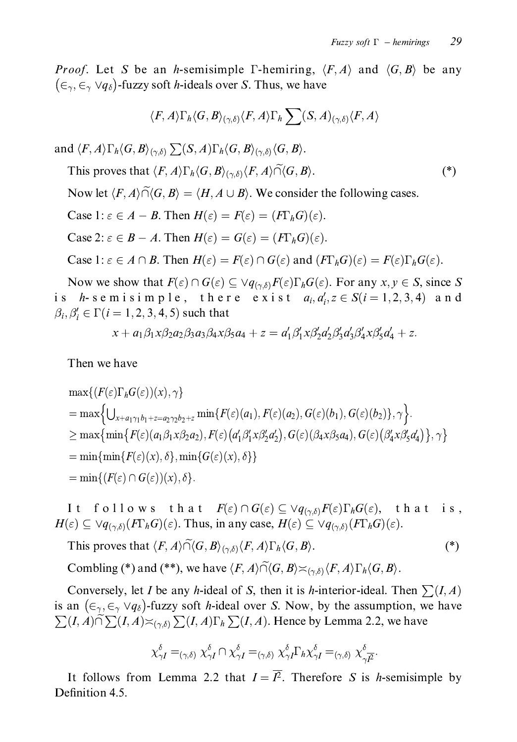$(*)$ 

*Proof.* Let S be an h-semisimple  $\Gamma$ -hemiring,  $\langle F, A \rangle$  and  $\langle G, B \rangle$  be any  $(\epsilon_{\gamma}, \epsilon_{\gamma} \vee q_{\delta})$ -fuzzy soft *h*-ideals over *S*. Thus, we have

$$
\langle F, A \rangle \Gamma_{\hbar} \langle G, B \rangle_{(\gamma, \delta)} \langle F, A \rangle \Gamma_{\hbar} \sum (S, A)_{(\gamma, \delta)} \langle F, A \rangle
$$

and  $\langle F, A \rangle \Gamma_h \langle G, B \rangle_{(\gamma, \delta)} \sum (S, A) \Gamma_h \langle G, B \rangle_{(\gamma, \delta)} \langle G, B \rangle$ .

This proves that  $\langle F, A \rangle \Gamma_h \langle G, B \rangle_{(\gamma, \delta)} \langle F, A \rangle \widetilde{\cap} \langle G, B \rangle$ .

Now let  $\langle F, A \rangle \widetilde{\cap} \langle G, B \rangle = \langle H, A \cup B \rangle$ . We consider the following cases.

Case 1:  $\varepsilon \in A - B$ . Then  $H(\varepsilon) = F(\varepsilon) = (F\Gamma_h G)(\varepsilon)$ .

Case 2:  $\varepsilon \in B - A$ . Then  $H(\varepsilon) = G(\varepsilon) = (F\Gamma_h G)(\varepsilon)$ .

Case 1:  $\varepsilon \in A \cap B$ . Then  $H(\varepsilon) = F(\varepsilon) \cap G(\varepsilon)$  and  $(F\Gamma_h G)(\varepsilon) = F(\varepsilon) \Gamma_h G(\varepsilon)$ .

Now we show that  $F(\varepsilon) \cap G(\varepsilon) \subseteq \forall q_{(\gamma,\delta)} F(\varepsilon) \Gamma_h G(\varepsilon)$ . For any  $x, y \in S$ , since S is h-semisimple, there exist  $a_i, a'_i, z \in S(i = 1, 2, 3, 4)$  and  $\beta_i, \beta'_i \in \Gamma(i = 1, 2, 3, 4, 5)$  such that

$$
x + a_1 \beta_1 x \beta_2 a_2 \beta_3 a_3 \beta_4 x \beta_5 a_4 + z = a_1' \beta_1' x \beta_2' a_2' \beta_3' a_3' \beta_4' x \beta_5' a_4' + z.
$$

Then we have

$$
\max\{ (F(\varepsilon)\Gamma_h G(\varepsilon))(x), \gamma \}
$$
\n
$$
= \max\{ \bigcup_{x+a_1\gamma_1 b_1 + z = a_2\gamma_2 b_2 + z} \min\{ F(\varepsilon)(a_1), F(\varepsilon)(a_2), G(\varepsilon)(b_1), G(\varepsilon)(b_2) \}, \gamma \}.
$$
\n
$$
\geq \max\{ \min\{ F(\varepsilon)(a_1\beta_1x\beta_2a_2), F(\varepsilon)(a'_1\beta'_1x\beta'_2a'_2), G(\varepsilon)(\beta_4x\beta_5a_4), G(\varepsilon)(\beta'_4x\beta'_5a'_4) \}, \gamma \}
$$
\n
$$
= \min\{ \min\{ F(\varepsilon)(x), \delta \}, \min\{ G(\varepsilon)(x), \delta \} \}
$$
\n
$$
= \min\{ (F(\varepsilon) \cap G(\varepsilon))(x), \delta \}.
$$

follows that  $F(\varepsilon) \cap G(\varepsilon) \subseteq \vee q_{(\gamma,\delta)}F(\varepsilon)\Gamma_hG(\varepsilon)$ , that is, I t  $H(\varepsilon) \subseteq \forall q_{(\gamma,\delta)}(F\Gamma_h G)(\varepsilon)$ . Thus, in any case,  $H(\varepsilon) \subseteq \forall q_{(\gamma,\delta)}(F\Gamma_h G)(\varepsilon)$ .

This proves that 
$$
\langle F, A \rangle \widetilde{\cap} \langle G, B \rangle_{(\gamma, \delta)} \langle F, A \rangle \Gamma_h \langle G, B \rangle
$$
. (\*)

Combling (\*) and (\*\*), we have  $\langle F, A \rangle \widetilde{\cap} \langle G, B \rangle \asymp_{(\gamma, \delta)} \langle F, A \rangle \Gamma_h \langle G, B \rangle$ .

Conversely, let *I* be any *h*-ideal of *S*, then it is *h*-interior-ideal. Then  $\sum (I, A)$ is an  $(\epsilon_{\gamma}, \epsilon_{\gamma} \vee q_{\delta})$ -fuzzy soft *h*-ideal over *S*. Now, by the assumption, we have  $\sum(I,A)\widetilde{\cap}\sum(I,A)\asymp_{(\gamma,\delta)}\sum(I,A)\Gamma_h\sum(I,A)$ . Hence by Lemma 2.2, we have

$$
\chi_{\gamma I}^{\delta} = (\gamma, \delta) \; \chi_{\gamma I}^{\delta} \cap \chi_{\gamma I}^{\delta} = (\gamma, \delta) \; \chi_{\gamma I}^{\delta} \Gamma_h \chi_{\gamma I}^{\delta} = (\gamma, \delta) \; \chi_{\gamma I}^{\delta}
$$

It follows from Lemma 2.2 that  $I = \overline{I^2}$ . Therefore S is h-semisimple by Definition 4.5.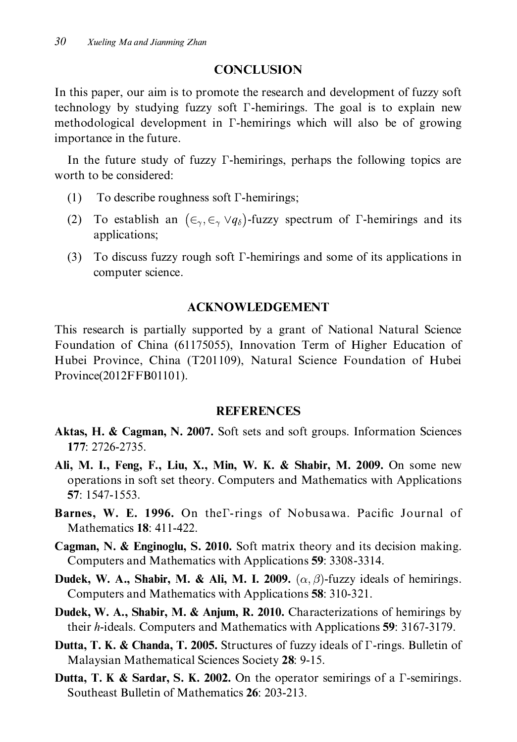## **CONCLUSION**

In this paper, our aim is to promote the research and development of fuzzy soft technology by studying fuzzy soft *T*-hemirings. The goal is to explain new methodological development in *Γ*-hemirings which will also be of growing importance in the future.

In the future study of fuzzy  $\Gamma$ -hemirings, perhaps the following topics are worth to be considered:

- (1) To describe roughness soft  $\Gamma$ -hemirings;
- (2) To establish an  $(\epsilon_{\gamma}, \epsilon_{\gamma} \vee q_{\delta})$ -fuzzy spectrum of  $\Gamma$ -hemirings and its applications;
- $(3)$  To discuss fuzzy rough soft  $\Gamma$ -hemirings and some of its applications in computer science.

## **ACKNOWLEDGEMENT**

This research is partially supported by a grant of National Natural Science Foundation of China (61175055), Innovation Term of Higher Education of Hubei Province, China (T201109), Natural Science Foundation of Hubei Province(2012FFB01101).

### **REFERENCES**

- Aktas, H. & Cagman, N. 2007. Soft sets and soft groups. Information Sciences 177: 2726-2735.
- Ali, M. I., Feng, F., Liu, X., Min, W. K. & Shabir, M. 2009. On some new operations in soft set theory. Computers and Mathematics with Applications 57: 1547-1553.
- Barnes, W. E. 1996. On the T-rings of Nobusawa. Pacific Journal of Mathematics **18**: 411-422.
- Cagman, N. & Enginoglu, S. 2010. Soft matrix theory and its decision making. Computers and Mathematics with Applications 59: 3308-3314.
- **Dudek, W. A., Shabir, M. & Ali, M. I. 2009.** ( $\alpha$ ,  $\beta$ )-fuzzy ideals of hemirings. Computers and Mathematics with Applications 58: 310-321.
- Dudek, W. A., Shabir, M. & Anjum, R. 2010. Characterizations of hemirings by their *h*-ideals. Computers and Mathematics with Applications 59: 3167-3179.
- **Dutta, T. K. & Chanda, T. 2005.** Structures of fuzzy ideals of  $\Gamma$ -rings. Bulletin of Malaysian Mathematical Sciences Society 28: 9-15.
- **Dutta, T. K & Sardar, S. K. 2002.** On the operator semirings of a  $\Gamma$ -semirings. Southeast Bulletin of Mathematics 26: 203-213.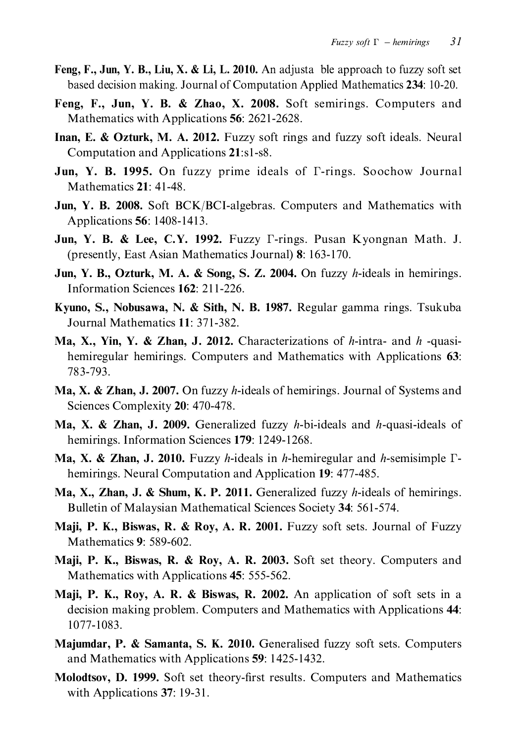- Feng, F., Jun, Y. B., Liu, X. & Li, L. 2010. An adjusta ble approach to fuzzy soft set based decision making. Journal of Computation Applied Mathematics 234: 10-20.
- Feng, F., Jun, Y. B. & Zhao, X. 2008. Soft semirings. Computers and Mathematics with Applications 56: 2621-2628.
- Inan, E. & Ozturk, M. A. 2012. Fuzzy soft rings and fuzzy soft ideals. Neural Computation and Applications 21:s1-s8.
- Jun, Y. B. 1995. On fuzzy prime ideals of *T*-rings. Soochow Journal Mathematics 21: 41-48.
- Jun, Y. B. 2008. Soft BCK/BCI-algebras. Computers and Mathematics with Applications 56: 1408-1413.
- Jun, Y. B. & Lee, C.Y. 1992. Fuzzy  $\Gamma$ -rings. Pusan Kyongnan Math. J. (presently, East Asian Mathematics Journal) 8: 163-170.
- **Jun, Y. B., Ozturk, M. A. & Song, S. Z. 2004.** On fuzzy h-ideals in hemirings. Information Sciences 162: 211-226.
- Kyuno, S., Nobusawa, N. & Sith, N. B. 1987. Regular gamma rings. Tsukuba Journal Mathematics 11: 371-382.
- Ma, X., Yin, Y. & Zhan, J. 2012. Characterizations of h-intra- and h-quasihemiregular hemirings. Computers and Mathematics with Applications 63: 783-793.
- **Ma, X. & Zhan, J. 2007.** On fuzzy *h*-ideals of hemirings. Journal of Systems and Sciences Complexity 20: 470-478.
- **Ma, X. & Zhan, J. 2009.** Generalized fuzzy h-bi-ideals and h-quasi-ideals of hemirings. Information Sciences 179: 1249-1268.
- **Ma, X. & Zhan, J. 2010.** Fuzzy *h*-ideals in *h*-hemiregular and *h*-semisimple  $\Gamma$ hemirings. Neural Computation and Application 19: 477-485.
- Ma, X., Zhan, J. & Shum, K. P. 2011. Generalized fuzzy h-ideals of hemirings. Bulletin of Malaysian Mathematical Sciences Society 34: 561-574.
- Maji, P. K., Biswas, R. & Roy, A. R. 2001. Fuzzy soft sets. Journal of Fuzzy Mathematics 9: 589-602.
- Maji, P. K., Biswas, R. & Roy, A. R. 2003. Soft set theory. Computers and Mathematics with Applications 45: 555-562.
- Maji, P. K., Roy, A. R. & Biswas, R. 2002. An application of soft sets in a decision making problem. Computers and Mathematics with Applications 44: 1077-1083.
- Majumdar, P. & Samanta, S. K. 2010. Generalised fuzzy soft sets. Computers and Mathematics with Applications 59: 1425-1432.
- Molodtsov, D. 1999. Soft set theory-first results. Computers and Mathematics with Applications 37: 19-31.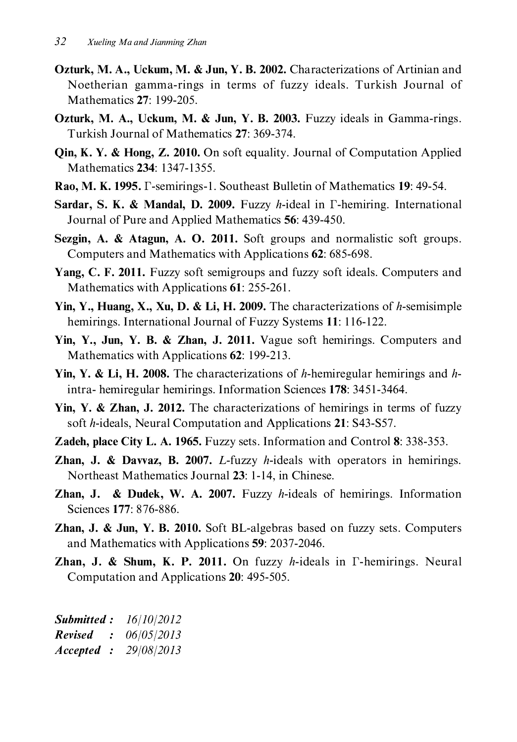- Ozturk, M. A., Uckum, M. & Jun, Y. B. 2002. Characterizations of Artinian and Noetherian gamma-rings in terms of fuzzy ideals. Turkish Journal of Mathematics 27: 199-205.
- Ozturk, M. A., Uckum, M. & Jun, Y. B. 2003. Fuzzy ideals in Gamma-rings. Turkish Journal of Mathematics 27: 369-374.
- **Oin, K. Y. & Hong, Z. 2010.** On soft equality. Journal of Computation Applied Mathematics 234: 1347-1355.
- Rao, M. K. 1995. F-semirings-1. Southeast Bulletin of Mathematics 19: 49-54.
- Sardar, S. K. & Mandal, D. 2009. Fuzzy h-ideal in  $\Gamma$ -hemiring. International Journal of Pure and Applied Mathematics 56: 439-450.
- Sezgin, A. & Atagun, A. O. 2011. Soft groups and normalistic soft groups. Computers and Mathematics with Applications 62: 685-698.
- Yang, C. F. 2011. Fuzzy soft semigroups and fuzzy soft ideals. Computers and Mathematics with Applications 61: 255-261.
- Yin, Y., Huang, X., Xu, D. & Li, H. 2009. The characterizations of h-semisimple hemirings. International Journal of Fuzzy Systems 11: 116-122.
- Yin, Y., Jun, Y. B. & Zhan, J. 2011. Vague soft hemirings. Computers and Mathematics with Applications 62: 199-213.
- Yin, Y. & Li, H. 2008. The characterizations of h-hemiregular hemirings and hintra-hemiregular hemirings. Information Sciences 178: 3451-3464.
- Yin, Y. & Zhan, J. 2012. The characterizations of hemirings in terms of fuzzy soft h-ideals, Neural Computation and Applications 21: S43-S57.
- Zadeh, place City L. A. 1965. Fuzzy sets. Information and Control 8: 338-353.
- **Zhan, J. & Davyaz, B. 2007.** L-fuzzy h-ideals with operators in hemirings. Northeast Mathematics Journal 23: 1-14, in Chinese.
- **Zhan, J. & Dudek, W. A. 2007.** Fuzzy h-ideals of hemirings. Information Sciences 177: 876-886.
- Zhan, J. & Jun, Y. B. 2010. Soft BL-algebras based on fuzzy sets. Computers and Mathematics with Applications 59: 2037-2046.
- Zhan, J. & Shum, K. P. 2011. On fuzzy h-ideals in T-hemirings. Neural Computation and Applications 20: 495-505.

| <b>Submitted :</b> | 16/10/2012 |
|--------------------|------------|
| Revised            | 06/05/2013 |
| Accepted           | 29/08/2013 |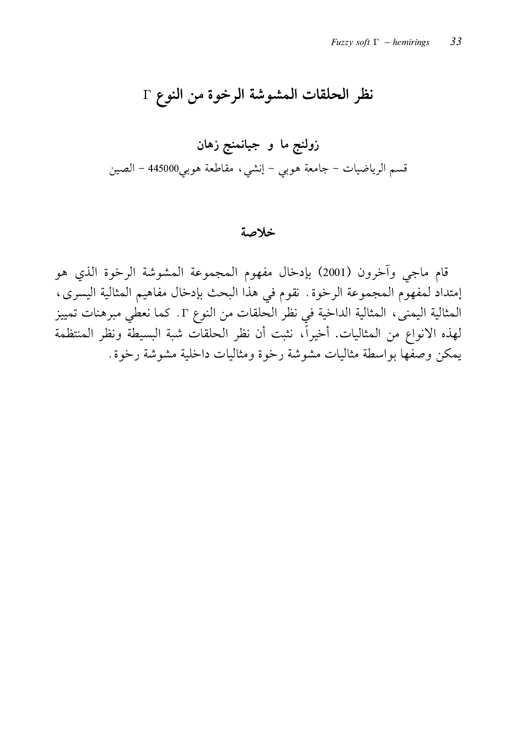# نظر الحلقات المشوشة الرخوة من النوع Γ

#### خلاصة

قام ماجي وآخرون (2001) بإدخال مفهوم المجموعة المشوشة الرخوة الذي هو إمتداد لمفهوم المجموعة الرخوة. نقوم في هذا البحث بإدخال مفاهيم المثالية اليسرى، المثالية اليمني، المثالية الداخية في نظر الحلقات من النوع T. كما نعطي مبرهنات تمييز لهذه الانواع من المثاليات. أخيراً، نثبت أن نظر الحلقات شبة البسيطة ونظر المنتظمة يمكن وصفها بواسطة مثاليات مشوشة رخوة ومثاليات داخلية مشوشة رخوة.